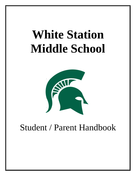# **White Station Middle School**



# Student / Parent Handbook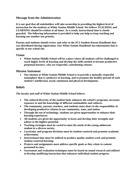#### **Message from the Administration**

**It is our goal that all stakeholders will take ownership in providing the highest level of instruction for the students at White Station Middle School. We believe TEACHING and LEARNING should be evident at all times. As a result, instructional time is closely guarded. The following information is provided to help you help us keep teaching and learning our number one priority.**

**Parents and students should review and refer to the SCS Student-Parent Handbook that was distributed during registration. Our White Station Handbook has information that is specific to our school site.**

#### **Vision**

• **White Station Middle School will be a place where all students will be challenged to reach higher levels of learning and develop the skills needed to become productive perpetual learners, who are respectful, contributing citizens.**

#### **Mission Statement**

• **Our mission at White Station Middle School is to provide a mutually respectful atmosphere that is conducive to learning, and to promote the healthy pursuit of each student's intellectual, social, emotional and physical development.**

#### **Beliefs**

**The faculty and staff of White Station Middle School believe:**

- **The cultural diversity of the student body enhances the school's programs, increases exposure to and the knowledge of different nationalities and cultures.**
- **The community, parents, teachers, and students must share in the responsibility of developing productive citizens in our community, state, and nation.**
- **Through the use of technology, students are given opportunities to enhance their learning experiences.**
- **All students are given the opportunity to learn and develop their strengths and talents to the highest potential.**
- **Teaching strategies must be varied to meet the needs of the young adolescent student in a diverse society.**
- **Curricular and program decisions must be student-centered and promote academic achievement.**
- **Instructional time must be utilized to produce quality student work and promote student-centered learning.**
- **Projects and assignments must address specific goals as they relate to content presented in class.**
- **Assessment and evaluation techniques must be based on sound research and utilized to develop modifying instruction that enhances individual student progress.**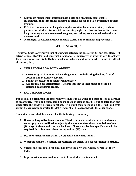- **Classroom management must promote a safe and physically comfortable environment that encourages students to attend school and take ownership of their learning.**
- **Effective communication for policy implementation by administrators, teachers, parents, and students is essential for reaching higher levels of student achievement for promoting a student-centered program, and taking each educational entity to the next level.**
- **Meaningful professional development is essential to continuous improvement.**

# **ATTENDANCE**

**Tennessee State law requires that all students between the ages of six (6) and seventeen (17) attend school. Regular and punctual attendance is imperative if students are to achieve their maximum potential. Higher academic achievement occurs when students attend classes regularly.** 

- **STEPS TO FOLLOW WHEN ABSENT**
	- **1. Parent or guardian must write and sign an excuse indicating the date, days of absence, and reason for absence.**
	- **2. Submit the excuse to the homeroom teacher.**
	- **3. Ask for make-up assignments. Assignments that are not made up could be reflected in academic grades.**
- **EXCUSED ABSENCES**

**Pupils shall be permitted the opportunity to make up all work and tests missed as a result of an absence. Work and tests should be made up as soon as possible, but no later than one week after the student returns to school. If a pupil fails to make up the work and tests within the current nine weeks, the deficiencies shall be averaged with the other grades.**

**Student absences shall be excused for the following reasons only:**

- **1. Illness or hospitalization of student. The district may require a parent conference and/or physician verification to justify the absences after the accumulation of ten (10) days of absences during a school year. Notes must be date specific and will be required for subsequent absences beyond ten (10) days.**
- **2. Death or serious illness within the student's immediate family.**
- **3. When the student is officially representing the school in a school sponsored activity.**
- **4. Special and recognized religious holidays regularly observed by persons of their faith.**
- **5. Legal court summons not as a result of the student's misconduct.**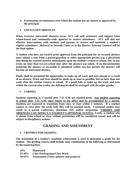- **6. Extenuating circumstances over which the student has no control as approved by the principal.**
- **UNEXCUSED ABSENCES**

**When excessive unexcused absences occur, SCS will seek assistance and support from school-based and community-wide agencies to restore attendance. SCS will also use effective interventions with students and parents to restore and maintain a student's regular attendance. Referral to Juvenile Court or to the District Attorney General will be the final option.**

**A student who does not receive prior approval from the principal for an excused absence must submit a note from a parent/guardian or other appropriate person (e.g. a physician) describing the excused absence immediately upon the student's return to school, but, in any event, no later than two (2) school days after the absence was taken. If no documentation justifying the absence as excusable is submitted within two-day period, the absence will become an unexcused absence.**

**Pupils shall be permitted the opportunity to make up all work and tests missed as a result of an absence. Work and tests should be made up as soon as possible, but no later than one week after the student returns to school. If a pupil fails to make up the work and tests within the current nine-weeks, the deficiencies shall be averaged with the other grades.**

• **TARDIES**

**Students reporting to 1st period after 7:15 A.M. are marked tardy. Any student reporting to school after 7:25 A.M. must report to the office and be accompanied by a parent. Students are expected to transition from class to class within 5 minutes. If a student reports to class after the tardy bell, they will be marked tardy. Continued tardies may result in a parent conference, detention, ISS, and/or suspension. TARDIES AND ABSENCES CAN AFFECT A STUDENT'S OPTIONAL STATUS. Lastly, a student who is absent from school or class without permission will be considered truant and will be subject to disciplinary actions.** 

# **GRADING AND ASSESSMENT**

#### • **CRITERIA FOR GRADING**

**The assessment of a student's academic achievement is used to determine a grade for the student. The grading criteria shall include some combination of the following as determined by the teams/teachers.**

| $10\%$      | <b>Homework</b>                            |
|-------------|--------------------------------------------|
| $25 - 40\%$ | <b>Class Participation/Class Work</b>      |
| $50 - 65\%$ | Assessments (Tests, quizzes, and projects) |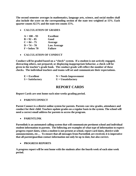**The second semester averages in mathematics, language arts, science, and social studies shall also include the score on the corresponding section of the state test weighted at 15%. Each quarter counts 42.5% and the state test counts 15%.**

#### • **CALCULATION OF GRADES**

| $A = 100 - 93$ | <b>Excellent</b>   |
|----------------|--------------------|
| $B = 92 - 85$  | Good               |
| $C = 84 - 75$  | Average            |
| $D = 74 - 70$  | <b>Low Average</b> |
| $F =$ below 70 | <b>Failure</b>     |

• **CALCULATION OF CONDUCT**

**Conduct will be graded based on a "check" system. If a student is not actively engaged, distracting others, not prepared, or displaying inappropriate behavior, a check will be given in the teacher's grade book. The conduct grade will reflect the number of these checks. The individual teachers and teams will set and communicate their expectations.**

| $E = Excellent$    | $N = N$ eeds Improvement |
|--------------------|--------------------------|
| $S = Satisfactory$ | $U =$ Unsatisfactory     |

# **REPORT CARDS**

**Report Cards are sent home each nine-weeks grading period.** 

• **PARENTCONNECT**

**Parent Connect is a district online system for parents. Parents can view grades, attendance and conduct for their child. Teachers update grades on a regular basis in the system. The school will need a correct email address for parents to access the program.**

• **PARENTLINK**

**Parentlink is an automated calling system that will communicate pertinent school and individual student information to parents. The following are examples of what type of information to expect: progress report dates, when a student is not present at school, report card dates, district-wide announcements, etc… To ensure that all messages from Parentlink are received, it is imperative that all parent/guardian contact information not only be up to date, but also correct.**

#### • **PROGRESS REPORTS**

**A progress report will be sent home with the students after the fourth week of each nine week period.**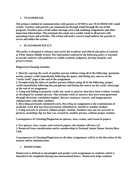#### • **TEACHEREASE**

**The primary method of communication with parents at WSMS is our TEACHEREASE email system. Teachers and parents can communicate through email through the use of this program. Teachers post a brief online message each week outlining assignments and other important information. The principal also sends out a weekly email to all parents with upcoming events and activities. The school will need a correct email address for parents to access and utilize the system.** 

### • **PLAGIARISM POLICY**

*This policy is designed to enhance and enrich the academic and ethical education of students at White Station Middle School. The information outlined in the following policy is intended to provide students with guidelines to enable academic judgment, develop integrity, and preserve honor.*

**Plagiarism/Cheating includes:**

**1. Directly copying the work of another person without using all of the following: quotation marks, proper credit immediately following the quote, and listing any sources on the "works cited" page at the end of the assignment.**

**2. Paraphrasing the ideas of another person without using all of the following: proper credit immediately following the paraphrase and listing the source on the works cited page at the end of an assignment.**

**3. Using and failing to properly credit any work or answers that have been written, created, or developed by another person. This includes work or answers that have been generated through electronic translation engines, literary summary sources, and inappropriate collaboration with other students.**

**4. Recycling previously submitted work.** *Recycling* **an assignment is the resubmission of academic work that has been previously submitted by oneself or another student. 5. Using artwork or pictures without proper citation. Students may not use artwork or pictures, including clip art that was created by another person, without proper citation.**

**Consequences of Cheating/Plagiarism on quizzes, tests, exams, and research papers:**

**1. For quizzes, tests, exams, and research papers, the student will earn a 0.**

**2. Removed from consideration and/or membership in National Junior Honor Society/Beta Club.**

**Consequences of Cheating/Plagiarism on all other assignments will be at the discretion of the teacher and/or administrator.**

#### • **HOMEWORK**

**Homework is defined as meaningful and quality work assignments to students which is intended to be completed during non-instructional hours. Homework helps students**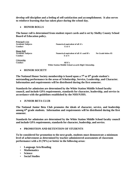**develop self-discipline and a feeling of self-satisfaction and accomplishment. It also serves to reinforce learning that has taken place during the school day.**

#### • **HONOR ROLLS**

**The honor roll is determined from student report cards and is set by Shelby County School Board of Education policy.**

**Principal's List Numerical equivalent of all A's**<br>**E** or **S**  $\bf{Conduct}$ **Honor Roll Academic Subjects Numerical equivalent of all A's and B's No Grade below 85 Conduct E or S Citizenship Conduct All E's**

**White Station Middle School awards High Citizenship.**

#### • **HONOR SOCIETY**

**The National Honor Society membership is based upon a 7th or 8th grade student's outstanding performance in the areas of Scholarship, Service, Leadership, and Character. Information and requirements will be distributed during the first semester.** 

**Standards for admission are determined by the White Station Middle School faculty council, and include GPA requirements, standards for character, leadership, and service in accordance with the guidelines established by the NHS/NJHS.**

• **JUNIOR BETA CLUB**

**The National Junior Beta Club promotes the ideals of character, service, and leadership among 6th grade students. Information and requirements will be distributed during the first semester.**

**Standards for admission are determined by the White Station Middle School faculty council and include GPA requirements, standards for character, leadership, and service.**

• **PROMOTION AND RETENTION OF STUDENTS**

**To be considered for promotion to the next grade, students must demonstrate a minimum level of achievement as determined by teacher-administered assessments of classroom performance with a D (70%) or better in the following areas:**

- **Language Arts/Reading**
- **Mathematics**
- **Science**
- **Social Studies**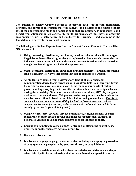# **STUDENT BEHAVIOR**

**The mission of Shelby County Schools is to provide each student with experiences, activities, and forms of instruction that will cultivate and develop to the fullest possible extent the understanding, skills and habits of mind that are necessary to contribute to and benefit from citizenship in our society. To fulfill this mission, we must have an academic environment, which is safe, secure and conducive to learning. Good discipline is the foundation of a successful educational program.** 

**The following are Student Expectations from the Student Code of Conduct: There will be NO tolerance of……**

- **1. Using, possessing, distributing, purchasing, or selling tobacco, alcoholic beverages, illegal drugs, look-a-like drugs or drug paraphernalia. Students who are under the influence are not permitted to attend school or a school function and are treated as though they had drugs or alcohol in their possession.**
- **2. Using, possessing, distributing, purchasing or selling explosives, firearms (including look-a-like), knives or any other object that can be considered a weapon.**
- **3. All students are banned from possessing any type of phone or personal communication device that is turned on or in visible/audible use at any time during the regular school day. Possession means being found in any article of clothing, purse, book bag, carry bag, or in any other location other than the assigned locker during the school day. Other electronic devices such as tablets, MP3 players, game devices, etc… are not allowed. Cell phones can be brought to school by students but must be turned off and placed in the child's locker during school hours.** *The district and/or school does not take responsibility for lost/confiscated items and will not compensate the owner for any lost, stolen or damaged confiscated items while in the custody of the district (Board Policy 6024).*
- **4. Using violence, force, coercion, threats, intimidation, fear, harassment, or other comparable conduct toward anyone (including school personnel, students, or designated visitors) or urging other students to engage in such conduct.**
- **5. Causing or attempting to cause damage to, stealing or attempting to steal, school property or another person's personal property.**
- **6. Unexcused absenteeism.**
- **7. Involvement in gangs or gang-related activities, including the display or possession of gang symbols or paraphernalia, gang recruitment, or gang initiation.**
- **8. Involvement in activities associated with secret societies, sororities, fraternities, or other clubs, by displaying related symbols or paraphernalia, or participating in**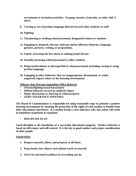**recruitment or invitation activities. No gang, sorority, fraternity, or other club Tshirts.**

- **9. Cursing or use of profane language directed toward other students or staff.**
- **10. Fighting**
- **11. Threatening or striking school personnel, designated visitors or students.**
- **12. Engaging in immoral, obscene, indecent and/or offensive behavior, language, gestures, pictures, writing, or propositions.**
- **13. Falsely activating the fire alarm or making bomb threats.**
- **14. Sexually harassing school personnel or other students.**
- **15. Being insubordinate or disrespectful to school personnel, including cursing or using profane language.**
- **16. Engaging in other behaviors that are inappropriate, detrimental, or which negatively impact others or the learning environment.**

**Offenses that Warrant Immediate Office Referral**

- **Threats/fighting/sexual harassment**
- **Defiant behavior toward an authority figure**
- **Major destruction or defacing of school property**
- **ZERO TOLERANCE OFFENSES**

**The Board of Commissioners is responsible for using reasonable steps to promote a positive learning environment by ensuring the protection of the rights of each student to benefit from their educational experiences. If a student breaks a zero tolerance rule, this action will result in immediate suspension or expulsion.**

• **DISCIPLINE PLAN**

**Good discipline is the foundation of a successful educational program. Positive behavior is based on self-respect and self-control. It is the key to good conduct and proper consideration of other people.**

#### **School Rules**

- **1. Respect yourself, others, and property at all times.**
- **2. Keep hands, feet, objects and unkind words to yourself.**
- **3. Strive for personal excellence in everything you do.**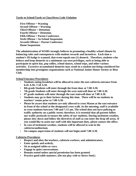#### **Tardy to School/Tardy to Class/Dress Code Violation**

**First Offense = Warning Second Offense = Warning Third Offense = Detention Fourth Offense = Detention Fifth Offense = Parent Conference Sixth Offense = In-School Suspension Seventh Offense = Parent Conference Home Suspension**

**The administration of WSMS strongly believes in promoting a healthy school climate by balancing rules and consequences with student rewards and incentives. Each time a student's ID badge is scanned, that event equals one (1) demerit. Therefore, students who behave and keep demerits to a minimum can earn privileges, such as being able to participate in spirit day, pep rallies, school dances, school trips, and other various activities. Excessive accumulated demerits may result in a student not being considered for membership into prestigious organizations such as National Junior Honor Society or Beta Club.** 

#### **School Entrance Procedures**

- **Students eating breakfast will be allowed to enter the east cafeteria entrance from 6:45 A.M.-7:10 A.M.**
- **8th grade Students will enter through the front door at 7:00 A.M.**
- **7th grade Students will enter through the west stairwell door at 7:00 A.M.**
- **6th grade students will enter through the east stairwell door at 7:00 A.M.**
- **Students may go to their lockers during this time. There will be no students in teachers' rooms prior to 7:00 A.M.**
- **Please be aware that students are only allowed to cross Mason at the east entrance in front of the school at the designated cross walk. In the morning, staff is available to cross students between 7:00 and 7:15 am. The school does not have policing or traffic authority on a public street; therefore, it is essential that all parents follow our traffic protocols to ensure the safety of our students. During inclement weather, please slow down and follow the directives of staff as you enter the drop off areas. If you would like to assist our staff with this important duty, please contact the office.**
- **In case of inclement weather, students will be allowed to wait in the cafeteria/auditorium.**
- **On campus supervision of students will not begin until 7:00 A.M.**

#### **Cafeteria Procedures**

- **Respect and obey the teachers, cafeteria workers, and administrators.**
- **Enter quietly and orderly.**
- **Sit at assigned tables or rows.**
- **Engage in quiet conversations.**
- **Remain seated unless special permission has been granted.**
- **Practice good table manners. (Do not play with or throw food.)**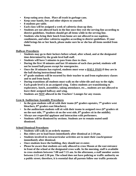- **Keep eating area clean. Place all trash in garbage cans.**
- **Keep your hands, feet and other objects to yourself.**
- **8 students per table.**
- **Each class will be assigned a week of cafeteria clean up duty.**
- **Students are not allowed back in the line once they exit the serving line according to district guidelines. Students should get all items while in the serving line.**
- **Students who bring their lunch from home are not allowed to use napkins, condiments, and other cafeteria supplies according to district guidelines. If your child brings his or her lunch, please make sure he or she has all items needed from home.**

#### **Hallway Procedures**

- **Students may go to their lockers before school, after school, and at the designated time determined by the grade level hall staff.**
- **Students will have 5 minutes to pass from class to class.**
- **During the first 10 minutes and last 10 minutes of each class period, students will not be issued hall passes except for emergencies.**
- **Once the 10 minutes has expired, students must wear a HALL PASS if they are in the hall during instructional time.**
- **6th grade students will be escorted by their teacher to and from exploratory classes and to and from lunch.**
- **During transitions all students must walk on the white tile and stay to the right.**
- **Each grade level is in an assigned wing. Unless students are transitioning to exploratory, lunch, assemblies, taking attendance, etc.., students are not allowed to leave their assigned hallway and wing.**
- **Students are NOT allowed in the Teachers' Lounges for any reason.**

**Gym & Auditorium Assembly Procedures**

- **In the gym students will sit with their teams (6th graders upstairs, 7th graders west bleachers, 8th graders east bleachers).**
- **In the auditorium students will sit with their teams in assigned rows (6th graders sit on the east side, 7th graders sit on the west side, 8th graders sit in the middle).**
- **Always use respectful applause and interaction with performers.**
- **Students will be dismissed by sections. Students are to remain seated until dismissed.**

#### **School Dismissal Procedures**

- **Students will walk in an orderly manner.**
- **Bus riders are to load buses immediately after dismissal at 2:10 pm.**
- **Students involved in extracurricular activities are to meet their coach/sponsor immediately after dismissal.**
- **Once students leave the building, they should not re-enter.**
- **Please be aware that students are only allowed to cross Mason at the east entrance in front of the school at the designated cross walk. In the morning, staff is available to cross students between 7:00 and 7:15 am. In the afternoon, a staff member assists between 2:15 and 2:30 pm. The school does not have policing or traffic authority on a public street; therefore, it is essential that all parents follow our traffic protocols**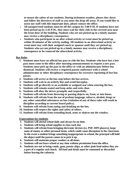**to ensure the safety of our students. During inclement weather, please slow down and follow the directives of staff as you enter the drop off areas. If you would like to assist our staff with this important duty, please contact the office.**

- **All unsupervised students must be off the campus by 3:00 P.M. If students have not been picked up by 2:45 P.M., they must wait for their ride in the covered area near the front door of the building. Students who are not picked up in a timely manner may receive a disciplinary consequence.**
- **Students who participate in an after school activity or event must be picked up within 20 minutes of the activity ending. All students in an afterschool activity or event must stay with their assigned coach or sponsor until they are picked up. Students who are not picked up in a timely manner may receive a disciplinary consequence or be removed the afterschool activity.**

#### **Bus Rules**

- **1. Students must have an official bus pass to ride the bus. Students who have lost a bus pass must come to the office after morning announcements to request a new pass. Students must pick up the pass in the office or with an administrator before bus dismissal. Students will receive a required parent conference with a school administrator or other disciplinary consequence for excessive reprinting of lost bus passes.**
- **2. Students will arrive at the bus stop before the bus arrives.**
- **3. Students will wait in an orderly line and avoid horseplay.**
- **4. Students will go directly to an available or assigned seat when entering the bus.**
- **5. Students will remain seated and keep aisles and exits clear.**
- **6. Students will obey the driver promptly and respectfully.**
- **7. Students will refrain from throwing or passing objects on, from, or into buses.**
- **8. Students will refrain from the use of profane language, tobacco, alcohol, drugs or any other controlled substances on bus (violation of any of these rules will result in discipline according to current board policy).**
- **9. Students will refrain from eating and drinking on the bus.**
- **10. Students will respect the rights and safety of others.**
- **11. Students will refrain from extending head, arms or objects out the window.**

#### **Expectations for students**

- **1. Students will attend school daily and always be on time.**
- **2. Students will bring school supplies to class each day**
- **3. Students will refrain from bringing electronic devises (i.e. PSP, MP3 players), large sums of money or other personal items, which could cause disruption in the classroom. In the event a student brings something inappropriate to school, the principal will hold the object until the parent comes in to pick it up.**
- **4. Students will maintain proper conduct at all times.**
- **5. Students will not leave school at any time without permission from the office.**
- **6. Students are not to bring candy, gum, potato chips, or other junk food unless they are a part of a regular sack lunch. All food and drink must be consumed or discarded before leaving the cafeteria.**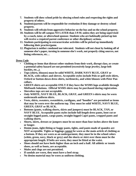- **7. Students will show school pride by obeying school rules and respecting the rights and property of others.**
- **8. Students/parents will be responsible for restitution if they damage or destroy school property.**
- **9. Students will refrain from aggressive behavior on the bus and on the school property.**
- **10. Students will be off campus NO LATER than 3 P.M. unless they are being supervised by a coach, tutor, or afterschool sponsor. Students who are habitually picked up late will receive a required parent conference or other disciplinary actions.**
- **11. Students participating in extracurricular activities will be picked up immediately following their practice/game.**
- **12. Plagiarism is neither condoned nor tolerated. Students will not cheat by looking off of someone else's paper, turning in someone else's work, not properly citing sources, not listing references, etc…**

**Dress Code**

- **Clothing or items that distract other students from their work, disrupt class, or create a potential safety hazard are not permitted (excessively large jewelry, large belt buckles, etc..,).**
- **Tops (shirts, blouses) must be solid WHITE, DARK NAVY BLUE, GRAY or BLACK, with collars and sleeves. Acceptable styles include Polo or golf-style shirts, Oxford or button-down dress shirts, turtlenecks, and white blouses with Peter Pan collars.**
- **GREEN shirts are acceptable ONLY if they have the WSMS logo available through MidSouth Solutions. Official WSMS shirts may be purchased during registration.**
- **Sleeveless tops are not acceptable.**
- **Only WHITE, NAVY BLUE, BLACK, GRAY, and GREEN t-shirts may be worn underneath uniform shirts.**
- **Vests, shirts, sweaters, sweatshirts, cardigans, and "hoodies" are permitted as items that may be worn over the uniform top. They must be solid WHITE, NAVY BLUE, GREEN, GRAY or BLACK.**
- **Bottoms (pants, walking shorts, skirts and jumpers) must be BLACK, TAN, or NAVY BLUE. Acceptable pants styles include full-length dress pants, boot cut or straight-legged pants, cargo pants, straight-legged Capri pants, cropped pants and walking shorts.**
- **Shorts, skirts, dresses or jumpers must be no more than four inches above the knee or longer.**
- **Denim jeans, tight-fitting or baggy pants, tights, and pants made of spandex are NOT acceptable. Tights or leggings cannot be worn as the main article of clothing as a bottom. If they are worn as an undergarment, they must be in the school colors (white, green, navy, black or grey) and the shorts or skirt over them must be the appropriate length. If belts are worn, they must be fitted at the waist.**
- **Shoes should not have heels higher than an inch and a half. All athletic or tennis shoes, as well as boots, are acceptable.**
- **Mules and clogs are not permitted.**
- **If sandals are worn, they must have a heel strap.**
- **No denim material may be worn as uniform clothing.**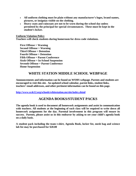- **All uniform clothing must be plain without any manufacturer's logos, brand names, pictures, or insignias visible on the clothing.**
- **Heavy coats and raincoats are not to be worn during the school day unless permitted by the principal for special circumstances. These must be kept in the student's locker.**

**Uniform Violation Policy**

**Teachers will check students during homeroom for dress code violations.**

**First Offense = Warning Second Offense = Warning Third Offense = Detention Fourth Offense = Detention Fifth Offense = Parent Conference Sixth Offense = In-School Suspension Seventh Offense = Parent Conference Home Suspension**

# **WHITE STATION MIDDLE SCHOOL WEBPAGE**

**Announcements and information can be found on WSMS webpage. Parents and students are encouraged to visit this site. An updated school calendar, parent links, student links, teachers' email addresses, and other pertinent information can be found on this page.**

**<http://www.scsk12.org/schools/whitestation.ms/site/index.shtml>**

# **AGENDA BOOKS/STUDENT PACKS**

**The agenda book is used to document all homework assignments and assist in communication with teachers. All students at the beginning of each class will be required to write down all homework assignments for the day. Parental involvement in this program will ensure its success. Parents, please assist us in this endeavor by asking to see your child's agenda book on a daily basis.** 

**A student pack including the team t-shirt, Agenda Book, locker fee, mesh bag and science lab fee may be purchased for \$20.00**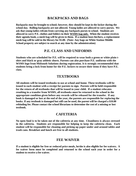# **BACKPACKS AND BAGS**

**Backpacks may be brought to school; however, they should be kept in the locker during the school day. Rolling backpacks are not allowed. Young ladies are allowed to carry purses. We ask that young ladies refrain from carrying any backpack purses to school. Students are allowed to carry P.E. clothes and folders in their WSMS bag only. When the student receives their agenda book, a mesh bag will be given to them. If a student loses his/hers, a replacement mesh bag will be sold in the library for \$5.00. (Note: Any bags on White Station Middle School property are subject to search at any time by the administration)**

### **P.E. CLASS AND UNIFORMS**

**Students who are scheduled for P.E. will be required to wear both a green or white plain tshirt and black or gray athletic shorts. Parents can also purchase P.E. uniforms with the WSMS logo from Midsouth Solutions during registration. It is strongly recommended that students bring a lock from home for the P.E. lockers to secure their items if they have P.E. class.** 

## **TEXTBOOKS**

**All students will be issued textbooks to use at school and home. These textbooks will be issued to each student with a receipt for parents to sign. Parents will be held responsible for the return of all textbooks that will be issued to your child. If a student relocates resulting in a transfer from WSMS, all textbooks must be returned to the school in the appropriate condition given before any records will be released for the transfer. If any book is damaged or lost at the end of the year, the parents are responsible for replacing the books. If any textbook is damaged but still can be used, the parent will be charged a \$10.00 rebinding fee. Please contact the school librarians to determine the cost of a missing or lost textbook.**

# **CAFETERIA**

**No open food is to be taken out of the cafeteria at any time. Cleanliness is always stressed in the cafeteria. Students are responsible for helping to keep the cafeteria clean. Each student will be responsible for cleaning and picking up paper under and around tables and trash cans. Breakfast and lunch are free to all students.**

#### **FEE WAIVER**

**If a student is eligible for free or reduced price meals, he/she is also eligible for fee waivers. A fee waiver form must be completed and returned to the school each year in order for a student to receive a fee waiver.**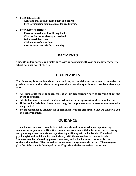• **FEES ELIGIBLE**

**Activities that are a required part of a course Fees for participation in courses for credit grade**

#### • **FEES NOT ELIGIBLE**

**Fines for overdue or lost library books Charges for lost or destroyed textbooks Debts owed the school Club membership or dues Fees for event outside the school day**

# **PAYMENTS**

**Students and/or parents can make purchases or payments with cash or money orders. The school does not accept checks.**

# **COMPLAINTS**

**The following information about how to bring a complaint to the school is intended to provide parents and students an opportunity to resolve questions or problems that may arise.**

- **All complaints must be taken care of within ten calendar days of learning about the event or problem.**
- **All student matters should be discussed first with the appropriate classroom teacher.**
- **If the teacher's decision is not satisfactory, the complainant may request a conference with the principal.**
- **Please remember to schedule an appointment with the principal so that we can serve you in a timely manner.**

# **GUIDANCE**

**School Counselors are available to assist students and families who are experiencing academic or adjustment difficulties. Counselors are also available for academic screening and planning when students are experiencing difficulty with schoolwork. The school psychologist and social worker work closely with the counselors in these referrals. Students may be referred by parents, teachers, and school administrators or by the students themselves. The counselors' coordinate the system-wide testing. The four-year plan for high school is developed in the 8th grade with the counselors' assistance.**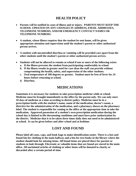# **HEALTH POLICY**

- **Parents will be notified in cases of illness and or injury. PARENTS MUST KEEP THE SCHOOL UPDATED ON ANY CHANGES IN ADDRESS, EMAIL ADDRESSES, TELEPHONE NUMBERS, AND/OR EMERGENCY CONTACT NAMES OR TELEPHONE NUMBERS.**
- **A student, whose illness requires that the student be sent home, will be given appropriate attention and supervision until the student's parent or other authorized person arrives.**
- **A student with uncontrolled diarrhea or vomiting will be provided care apart from the other students until the student's parent or other authorized person arrives.**
- **Students will not be allowed to remain at school if one or more of the following exists:**
	- **a. If the illness prevents the student from participating comfortably in school.**
	- **b. If the illness results in greater need for care than the staff can provide without compromising the health, safety, and supervision of the other students.**
	- **c. Oral temperature of 100 degrees or greater. Student must be free of fever for 24 hours before returning to school.**
	- **d. Diarrhea.**

# **MEDICATIONS**

**Sometimes it is necessary for students to take prescription medicine while at school. Medicine must be brought immediately to the office by the parent only. We can only store 10 days of medicine at a time according to district policy. Medicine must be in a prescription bottle with the student's name, name of the medication, doctor's name, a directive for the administration of the medication, and a pharmacy shown on the pharmacy label. The student is responsible for coming to the office at the appropriate time to take the medication. Approved possession of a student's own prescription medication during the school day is limited to life-threatening conditions and must have prior authorization by the district. Medicine that is to be taken three times daily does not need to be administered at school. It can be given before and after school and at bedtime.** 

# **LOST AND FOUND**

**Please label all coats, caps, and book bags to make identification easier. There is a lost and found bin for clothing in the main hallway and a bin for text books in the library where the student should look for missing items. All found items are placed there for parents or students to look through. Electronic or valuable items that are found are stored in the main office. All unclaimed articles of clothing or other items will be donated to charity or discarded after a certain period of time.**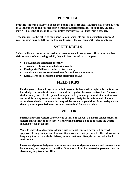# **PHONE USE**

**Students will only be allowed to use the phone if they are sick. Students will not be allowed to use the phone to call for forgotten homework, permission slips, or supplies. Students may NOT use the phone in the office unless they have a Hall Pass from a teacher.**

**Teachers will not be called to the phone to talk to parents during instructional time. A voice message may be left for the teacher to return the call during the planning time.**

# **SAFETY DRILLS**

**Safety drills are conducted according to recommended procedures. If parents or other visitors are at school during a drill, they will be expected to participate.**

- **Fire Drills are conducted monthly**
- **Tornado Drills are conducted twice yearly**
- **Earthquake Drills are conducted twice yearly**
- **Metal Detectors are conducted monthly and are unannounced**
- **Lock Downs are conducted at the discretion of SCS**

# **FIELD TRIPS**

**Field trips are planned experiences that provide students with insight, information, and knowledge that constitute an extension of the regular classroom instruction. To ensure student safety, each field trip shall be supervised by school personnel at a minimum of one adult for every twenty students, so that good discipline is maintained. There are cases where the classroom teacher may advise greater supervision. Prior to departure signed parental permission forms must be obtained for each student.** 

# **VISITORS**

**Parents and other visitors are welcome to visit our school. To ensure school safety, all visitors must report to the office. Visitors will be issued a badge or name tag which should be worn at all times.**

**Visits to individual classrooms during instructional time are permitted only with approval of the principal and teacher. Such visits are not permitted if their duration or frequency interferes with the delivery of instruction or disrupts the normal school environment.** 

**Parents and parent designees, who come to school to sign students out and remove them from school, must report to the office. Students will not be released to parents from the classroom, only from the office.**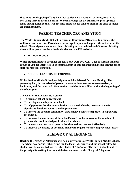**If parents are dropping off any item that students may have left at home, we ask that you bring these to the main office. We will arrange for the students to pick up these items during lunch so they will not miss instructional time or disrupt the class to make an announcement.**

# **PARENT TEACHER ORGANIZATION**

**The White Station Middle School Partners in Education (PIE) exists to promote the welfare of our students. Parents are encouraged to join and support the activities of the school. Please sign our volunteer form. Meetings are scheduled each 9 weeks. Meeting times will be posted on the school calendar and the PIE website.**

• **WATCH D.O.G.S**

**White Station Middle School has an active WATCH D.O.G.S. (Dads of Great Students) group. If you are interested in becoming a part of this organization, please ask the office staff for more information.**

• **SCHOOL LEADERSHIP COUNCIL**

**White Station Middle School participates in School-Based Decision Making. The governing body is comprised of parent representatives, teacher representatives, a facilitator, and the principal. Nominations and elections will be held at the beginning of the school year.**

**The Goals of the Leadership Council** 

- **To focus on school improvement**
- **To develop ownership in the school**
- **To help parents feel their contributions are worthwhile by involving them in significant decisions about school improvement.**
- **To involve the broader community, particularly business/corporate, in supporting the schools.**
- **To improve the marketing of the school's program by increasing the number of persons who are knowledgeable about the school.**
- **To demonstrate that participatory decision making can work effectively**
- **To improve the quality of decisions made with regard to school improvement issues**

# **PLEDGE OF ALLEGIANCE**

**Reciting the Pledge of Allegiance will be a daily routine at White Station Middle School. The school day begins with reciting the Pledge of Allegiance and the school rules. No student will be compelled to recite the Pledge of Allegiance. The parent should notify the principal in writing if a student desires not to recite the Pledge of Allegiance.**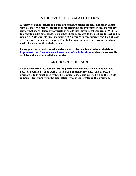# **STUDENT CLUBS and ATHLETICS**

**A variety of athletic teams and clubs are offered to enrich students and teach valuable "life lessons." We highly encourage all students who are interested in any sport to try out for that sport. There are a variety of sports that may interest you here at WSMS. In order to participate, students must have been promoted to the next grade level and to remain eligible students must maintain a "C" average in core subjects and hold at least a "D" average in non-core classes. The student must also have a recent physical and medical waiver on file with the school.** 

**Please go to our school's website under the activities or athletics tabs on the left at <http://www.scsk12.org/schools/whitestation.ms/site/index.shtml> to view the current list of clubs and activities available to students.**

# **AFTER SCHOOL CARE**

**After school care is available to WSMS parents and students for a weekly fee. The hours of operation will be from 2:15 to 6:00 pm each school day. The aftercare program is fully sanctioned by Shelby County Schools and will be held on the WSMS campus. Please inquire in the main office if you are interested in this program.**